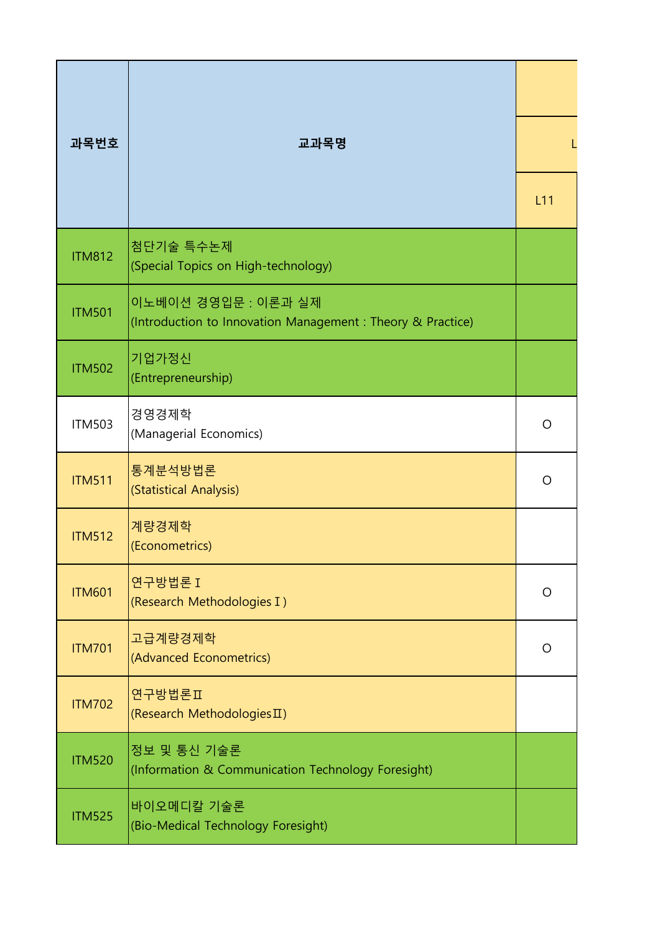| 과목번호          | 교과목명                                                                               |         |
|---------------|------------------------------------------------------------------------------------|---------|
|               |                                                                                    | L11     |
| <b>ITM812</b> | 첨단기술 특수논제<br>(Special Topics on High-technology)                                   |         |
| <b>ITM501</b> | 이노베이션 경영입문 : 이론과 실제<br>(Introduction to Innovation Management : Theory & Practice) |         |
| <b>ITM502</b> | 기업가정신<br>(Entrepreneurship)                                                        |         |
| <b>ITM503</b> | 경영경제학<br>(Managerial Economics)                                                    | $\circ$ |
| <b>ITM511</b> | 통계분석방법론<br>(Statistical Analysis)                                                  | $\circ$ |
| <b>ITM512</b> | 계량경제학<br>(Econometrics)                                                            |         |
| <b>ITM601</b> | 연구방법론 I<br>(Research Methodologies I)                                              | $\circ$ |
| <b>ITM701</b> | 고급계량경제학<br>(Advanced Econometrics)                                                 | O       |
| <b>ITM702</b> | 연구방법론Ⅱ<br>(Research Methodologies II)                                              |         |
| <b>ITM520</b> | 정보 및 통신 기술론<br>(Information & Communication Technology Foresight)                  |         |
| <b>ITM525</b> | 바이오메디칼 기술론<br>(Bio-Medical Technology Foresight)                                   |         |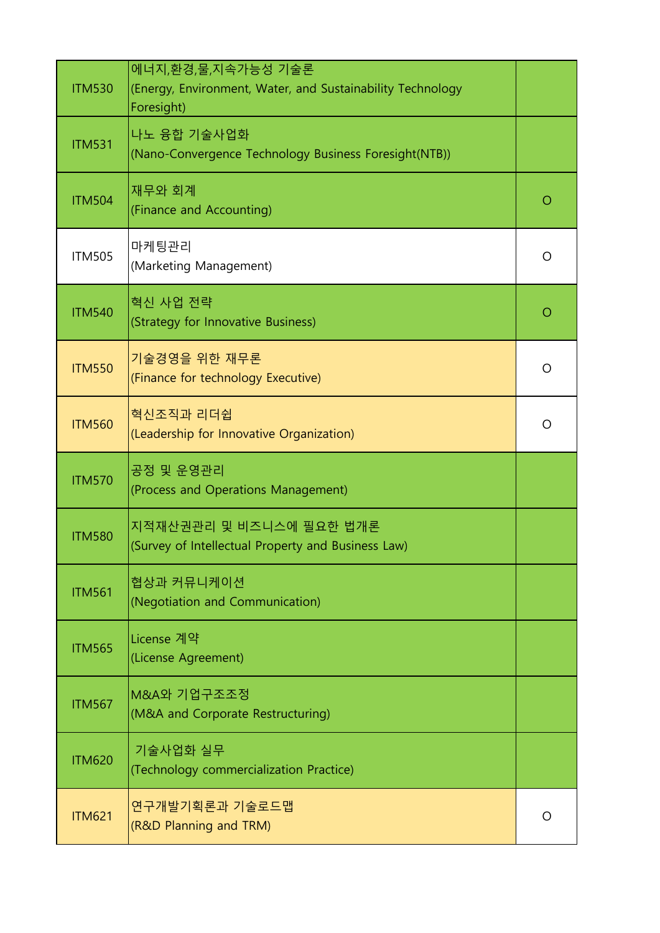| <b>ITM530</b> | 에너지,환경,물,지속가능성 기술론<br>(Energy, Environment, Water, and Sustainability Technology<br>Foresight) |         |
|---------------|------------------------------------------------------------------------------------------------|---------|
| <b>ITM531</b> | 나노 융합 기술사업화<br>(Nano-Convergence Technology Business Foresight(NTB))                           |         |
| <b>ITM504</b> | 재무와 회계<br>(Finance and Accounting)                                                             | O       |
| <b>ITM505</b> | 마케팅관리<br>(Marketing Management)                                                                | $\circ$ |
| <b>ITM540</b> | 혁신 사업 전략<br>(Strategy for Innovative Business)                                                 | $\circ$ |
| <b>ITM550</b> | 기술경영을 위한 재무론<br>(Finance for technology Executive)                                             | $\circ$ |
| <b>ITM560</b> | 혁신조직과 리더쉽<br>(Leadership for Innovative Organization)                                          | $\circ$ |
| <b>ITM570</b> | 공정 및 운영관리                                                                                      |         |
|               | (Process and Operations Management)                                                            |         |
| <b>ITM580</b> | 지적재산권관리 및 비즈니스에 필요한 법개론<br>(Survey of Intellectual Property and Business Law)                  |         |
| <b>ITM561</b> | 협상과 커뮤니케이션<br>(Negotiation and Communication)                                                  |         |
| <b>ITM565</b> | License 계약<br>(License Agreement)                                                              |         |
| <b>ITM567</b> | M&A와 기업구조조정<br>(M&A and Corporate Restructuring)                                               |         |
| <b>ITM620</b> | 기술사업화 실무<br>(Technology commercialization Practice)                                            |         |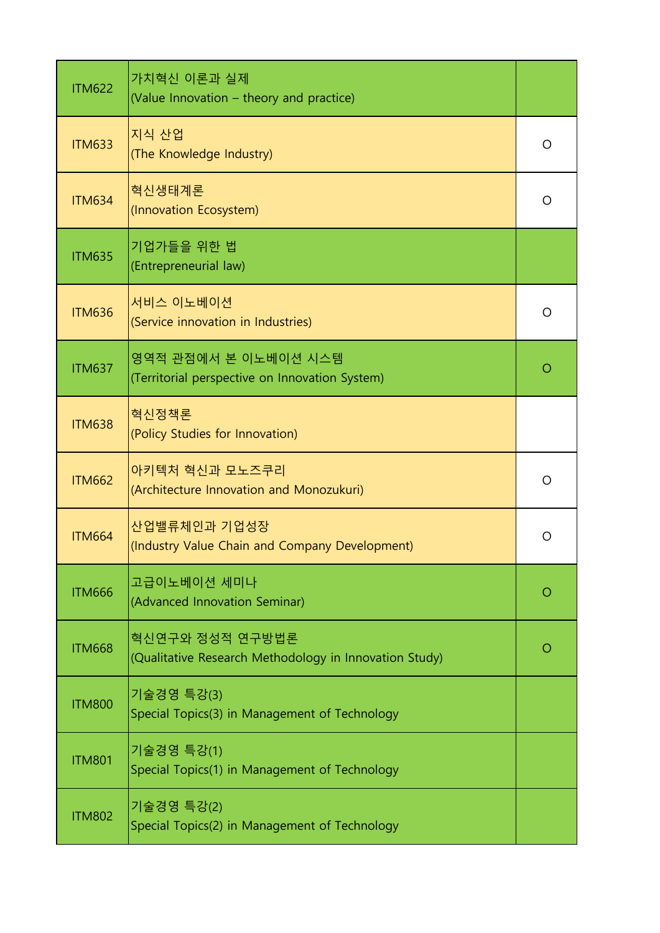| <b>ITM622</b> | 가치혁신 이론과 실제<br>(Value Innovation - theory and practice)                   |            |
|---------------|---------------------------------------------------------------------------|------------|
| <b>ITM633</b> | 지식 산업<br>(The Knowledge Industry)                                         | $\circ$    |
| <b>ITM634</b> | 혁신생태계론<br>(Innovation Ecosystem)                                          | $\circ$    |
| <b>ITM635</b> | 기업가들을 위한 법<br>(Entrepreneurial law)                                       |            |
| <b>ITM636</b> | 서비스 이노베이션<br>(Service innovation in Industries)                           | $\circ$    |
| <b>ITM637</b> | 영역적 관점에서 본 이노베이션 시스템<br>(Territorial perspective on Innovation System)    | $\circ$    |
| <b>ITM638</b> | 혁신정책론<br>(Policy Studies for Innovation)                                  |            |
| <b>ITM662</b> | 아키텍처 혁신과 모노즈쿠리<br>(Architecture Innovation and Monozukuri)                | O          |
| <b>ITM664</b> | 산업밸류체인과 기업성장<br>(Industry Value Chain and Company Development)            | O          |
| <b>ITM666</b> | 고급이노베이션 세미나<br>(Advanced Innovation Seminar)                              | $\bigcirc$ |
| <b>ITM668</b> | 혁신연구와 정성적 연구방법론<br>(Qualitative Research Methodology in Innovation Study) | $\bigcirc$ |
| <b>ITM800</b> | 기술경영 특강(3)<br>Special Topics(3) in Management of Technology               |            |
| <b>ITM801</b> | 기술경영 특강(1)<br>Special Topics(1) in Management of Technology               |            |
| <b>ITM802</b> | 기술경영 특강(2)<br>Special Topics(2) in Management of Technology               |            |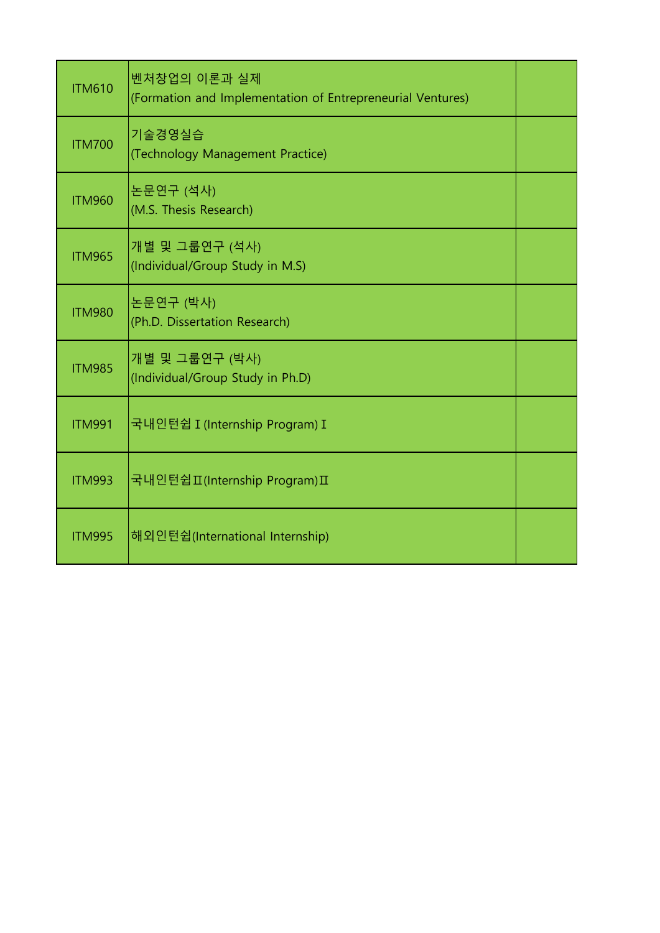| <b>ITM610</b> | 벤처창업의 이론과 실제<br>(Formation and Implementation of Entrepreneurial Ventures) |  |
|---------------|----------------------------------------------------------------------------|--|
| <b>ITM700</b> | 기술경영실습<br>(Technology Management Practice)                                 |  |
| <b>ITM960</b> | 논문연구 (석사)<br>(M.S. Thesis Research)                                        |  |
| <b>ITM965</b> | 개별 및 그룹연구 (석사)<br>(Individual/Group Study in M.S)                          |  |
| <b>ITM980</b> | 논문연구 (박사)<br>(Ph.D. Dissertation Research)                                 |  |
| <b>ITM985</b> | 개별 및 그룹연구 (박사)<br>(Individual/Group Study in Ph.D)                         |  |
| <b>ITM991</b> | 국내인턴쉽 I (Internship Program) I                                             |  |
| <b>ITM993</b> | 국내인턴쉽피(Internship Program)Ⅱ                                                |  |
| <b>ITM995</b> | 해외인턴쉽(International Internship)                                            |  |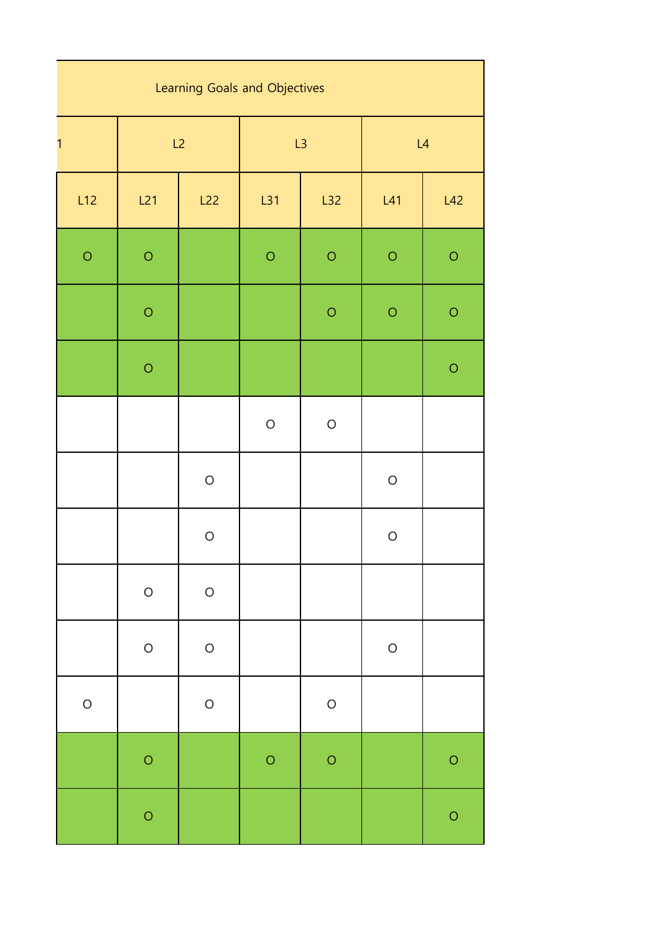| Learning Goals and Objectives |            |            |            |            |            |            |  |
|-------------------------------|------------|------------|------------|------------|------------|------------|--|
| 1                             | L2         |            | L3         |            | L4         |            |  |
| L12                           | L21        | L22        | L31        | L32        | L41        | L42        |  |
| $\bigcirc$                    | $\bigcirc$ |            | $\bigcirc$ | $\bigcirc$ | $\bigcirc$ | $\bigcirc$ |  |
|                               | $\bigcirc$ |            |            | $\bigcirc$ | $\circ$    | $\bigcirc$ |  |
|                               | $\bigcirc$ |            |            |            |            | $\bigcirc$ |  |
|                               |            |            | $\bigcirc$ | $\bigcirc$ |            |            |  |
|                               |            | $\bigcirc$ |            |            | $\bigcirc$ |            |  |
|                               |            | $\bigcirc$ |            |            | $\bigcirc$ |            |  |
|                               | $\bigcirc$ | $\bigcirc$ |            |            |            |            |  |
|                               | $\bigcirc$ | $\bigcirc$ |            |            | $\bigcirc$ |            |  |
| $\bigcirc$                    |            | $\bigcirc$ |            | $\bigcirc$ |            |            |  |
|                               | $\circ$    |            | $\bigcirc$ | $\bigcirc$ |            | $\circ$    |  |
|                               | $\bigcirc$ |            |            |            |            | $\circ$    |  |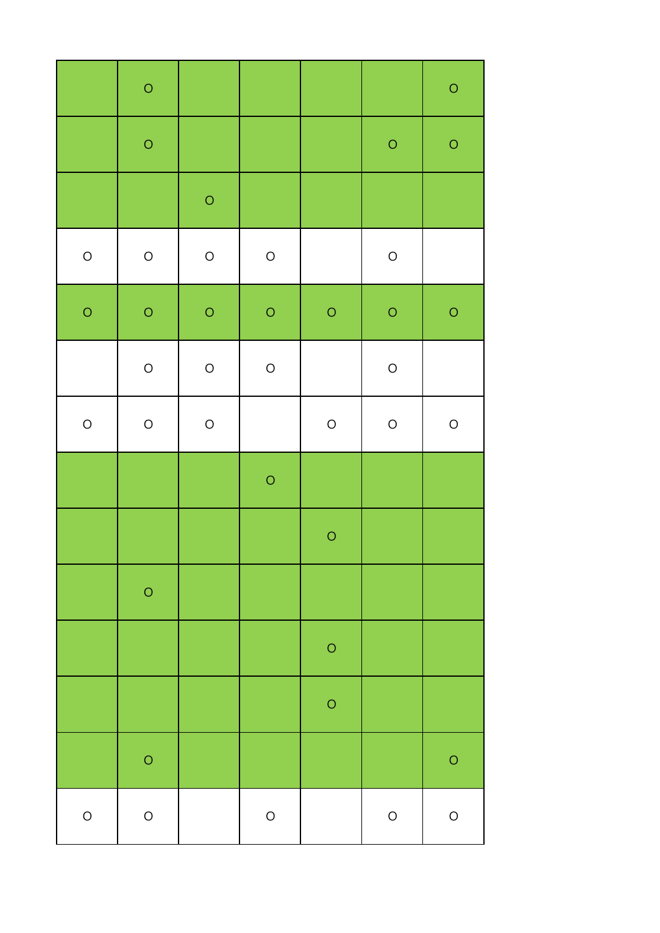|            | $\circ$    |            |            |            |            | $\bigcirc$ |
|------------|------------|------------|------------|------------|------------|------------|
|            | $\circ$    |            |            |            | $\circ$    | $\circ$    |
|            |            | $\bigcirc$ |            |            |            |            |
| $\bigcirc$ | $\bigcirc$ | $\bigcirc$ | $\bigcirc$ |            | $\bigcirc$ |            |
| $\circ$    | $\circ$    | $\circ$    | $\circ$    | $\bigcirc$ | $\circ$    | $\circ$    |
|            | $\bigcirc$ | $\bigcirc$ | $\bigcirc$ |            | $\bigcirc$ |            |
| $\bigcirc$ | $\bigcirc$ | $\bigcirc$ |            | $\bigcirc$ | $\bigcirc$ | $\bigcirc$ |
|            |            |            | $\bigcirc$ |            |            |            |
|            |            |            |            | $\bigcirc$ |            |            |
|            | $\circ$    |            |            |            |            |            |
|            |            |            |            | $\bigcirc$ |            |            |
|            |            |            |            | $\circ$    |            |            |
|            | $\circ$    |            |            |            |            | $\circ$    |
| $\bigcirc$ | $\bigcirc$ |            | $\bigcirc$ |            | $\bigcirc$ | $\bigcirc$ |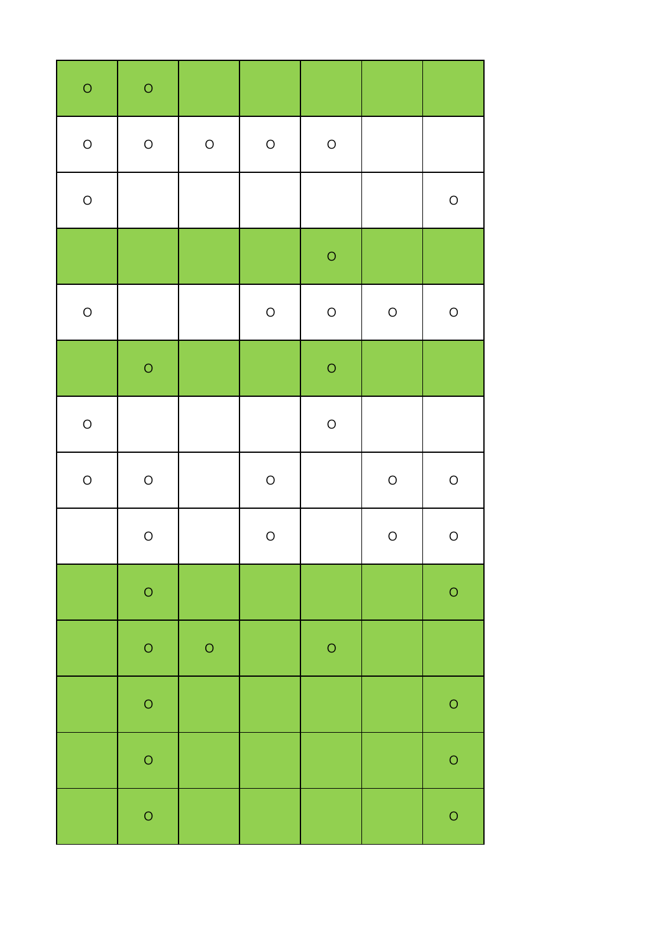| $\circ$    | $\circ$    |            |            |            |            |            |
|------------|------------|------------|------------|------------|------------|------------|
| $\bigcirc$ | $\bigcirc$ | $\bigcirc$ | $\bigcirc$ | $\bigcirc$ |            |            |
| $\bigcirc$ |            |            |            |            |            | $\bigcirc$ |
|            |            |            |            | $\circ$    |            |            |
| $\bigcirc$ |            |            | $\bigcirc$ | $\bigcirc$ | $\bigcirc$ | $\bigcirc$ |
|            | $\circ$    |            |            | $\bigcirc$ |            |            |
| $\bigcirc$ |            |            |            | $\bigcirc$ |            |            |
| $\bigcirc$ | $\bigcirc$ |            | $\bigcirc$ |            | $\bigcirc$ | $\bigcirc$ |
|            | $\bigcirc$ |            | $\bigcirc$ |            | $\bigcirc$ | $\bigcirc$ |
|            | $\circ$    |            |            |            |            | $\bigcirc$ |
|            | $\circ$    | $\circ$    |            | $\bigcirc$ |            |            |
|            | $\circ$    |            |            |            |            | $\bigcirc$ |
|            | $\circ$    |            |            |            |            | $\bigcirc$ |
|            | $\circ$    |            |            |            |            | $\bigcirc$ |